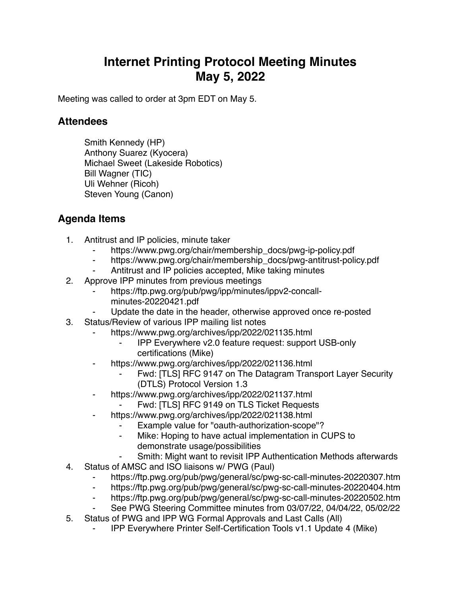## **Internet Printing Protocol Meeting Minutes May 5, 2022**

Meeting was called to order at 3pm EDT on May 5.

## **Attendees**

Smith Kennedy (HP) Anthony Suarez (Kyocera) Michael Sweet (Lakeside Robotics) Bill Wagner (TIC) Uli Wehner (Ricoh) Steven Young (Canon)

## **Agenda Items**

- 1. Antitrust and IP policies, minute taker
	- https://www.pwg.org/chair/membership\_docs/pwg-ip-policy.pdf
	- ⁃ https://www.pwg.org/chair/membership\_docs/pwg-antitrust-policy.pdf
	- Antitrust and IP policies accepted, Mike taking minutes
- 2. Approve IPP minutes from previous meetings
	- https://ftp.pwg.org/pub/pwg/ipp/minutes/ippv2-concallminutes-20220421.pdf
	- Update the date in the header, otherwise approved once re-posted
- 3. Status/Review of various IPP mailing list notes
	- https://www.pwg.org/archives/ipp/2022/021135.html
		- ⁃ IPP Everywhere v2.0 feature request: support USB-only certifications (Mike)
	- https://www.pwg.org/archives/ipp/2022/021136.html
		- Fwd: [TLS] RFC 9147 on The Datagram Transport Layer Security (DTLS) Protocol Version 1.3
	- ⁃ https://www.pwg.org/archives/ipp/2022/021137.html
		- Fwd: [TLS] RFC 9149 on TLS Ticket Requests
	- https://www.pwg.org/archives/ipp/2022/021138.html
		- Example value for "oauth-authorization-scope"?
		- Mike: Hoping to have actual implementation in CUPS to demonstrate usage/possibilities
		- Smith: Might want to revisit IPP Authentication Methods afterwards
- 4. Status of AMSC and ISO liaisons w/ PWG (Paul)
	- https://ftp.pwg.org/pub/pwg/general/sc/pwg-sc-call-minutes-20220307.htm
	- ⁃ https://ftp.pwg.org/pub/pwg/general/sc/pwg-sc-call-minutes-20220404.htm
	- ⁃ https://ftp.pwg.org/pub/pwg/general/sc/pwg-sc-call-minutes-20220502.htm
	- ⁃ See PWG Steering Committee minutes from 03/07/22, 04/04/22, 05/02/22
- 5. Status of PWG and IPP WG Formal Approvals and Last Calls (All)
	- ⁃ IPP Everywhere Printer Self-Certification Tools v1.1 Update 4 (Mike)